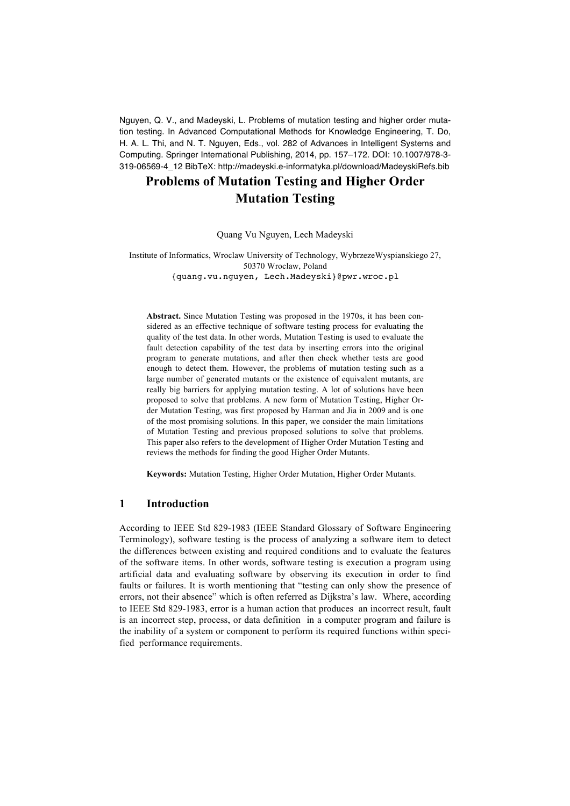Nguyen, Q. V., and Madeyski, L. Problems of mutation testing and higher order mutation testing. In Advanced Computational Methods for Knowledge Engineering, T. Do, H. A. L. Thi, and N. T. Nguyen, Eds., vol. 282 of Advances in Intelligent Systems and Computing. Springer International Publishing, 2014, pp. 157–172. DOI: 10.1007/978-3- 319-06569-4\_12 BibTeX: http://madeyski.e-informatyka.pl/download/MadeyskiRefs.bib

# **Problems of Mutation Testing and Higher Order Mutation Testing**

Quang Vu Nguyen, Lech Madeyski

Institute of Informatics, Wroclaw University of Technology, WybrzezeWyspianskiego 27, 50370 Wroclaw, Poland {quang.vu.nguyen, Lech.Madeyski}@pwr.wroc.pl

**Abstract.** Since Mutation Testing was proposed in the 1970s, it has been considered as an effective technique of software testing process for evaluating the quality of the test data. In other words, Mutation Testing is used to evaluate the fault detection capability of the test data by inserting errors into the original program to generate mutations, and after then check whether tests are good enough to detect them. However, the problems of mutation testing such as a large number of generated mutants or the existence of equivalent mutants, are really big barriers for applying mutation testing. A lot of solutions have been proposed to solve that problems. A new form of Mutation Testing, Higher Order Mutation Testing, was first proposed by Harman and Jia in 2009 and is one of the most promising solutions. In this paper, we consider the main limitations of Mutation Testing and previous proposed solutions to solve that problems. This paper also refers to the development of Higher Order Mutation Testing and reviews the methods for finding the good Higher Order Mutants.

**Keywords:** Mutation Testing, Higher Order Mutation, Higher Order Mutants.

## **1 Introduction**

According to IEEE Std 829-1983 (IEEE Standard Glossary of Software Engineering Terminology), software testing is the process of analyzing a software item to detect the differences between existing and required conditions and to evaluate the features of the software items. In other words, software testing is execution a program using artificial data and evaluating software by observing its execution in order to find faults or failures. It is worth mentioning that "testing can only show the presence of errors, not their absence" which is often referred as Dijkstra's law. Where, according to IEEE Std 829-1983, error is a human action that produces an incorrect result, fault is an incorrect step, process, or data definition in a computer program and failure is the inability of a system or component to perform its required functions within specified performance requirements.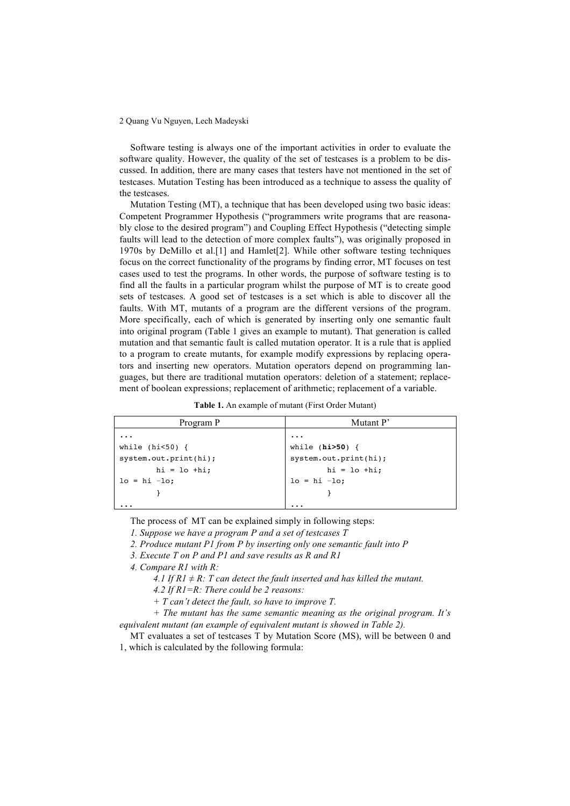Software testing is always one of the important activities in order to evaluate the software quality. However, the quality of the set of testcases is a problem to be discussed. In addition, there are many cases that testers have not mentioned in the set of testcases. Mutation Testing has been introduced as a technique to assess the quality of the testcases.

Mutation Testing (MT), a technique that has been developed using two basic ideas: Competent Programmer Hypothesis ("programmers write programs that are reasonably close to the desired program") and Coupling Effect Hypothesis ("detecting simple faults will lead to the detection of more complex faults"), was originally proposed in 1970s by DeMillo et al.[1] and Hamlet[2]. While other software testing techniques focus on the correct functionality of the programs by finding error, MT focuses on test cases used to test the programs. In other words, the purpose of software testing is to find all the faults in a particular program whilst the purpose of MT is to create good sets of testcases. A good set of testcases is a set which is able to discover all the faults. With MT, mutants of a program are the different versions of the program. More specifically, each of which is generated by inserting only one semantic fault into original program (Table 1 gives an example to mutant). That generation is called mutation and that semantic fault is called mutation operator. It is a rule that is applied to a program to create mutants, for example modify expressions by replacing operators and inserting new operators. Mutation operators depend on programming languages, but there are traditional mutation operators: deletion of a statement; replacement of boolean expressions; replacement of arithmetic; replacement of a variable.

| Table 1. An example of mutant (First Order Mutant) |  |
|----------------------------------------------------|--|
|----------------------------------------------------|--|

| Program P             | Mutant P'             |
|-----------------------|-----------------------|
| .                     | $\cdots$              |
| while $(hi<50)$ {     | while $(hi>50)$ {     |
| system.out.print(hi); | system.out.print(hi); |
| $hi = lo + hi;$       | $hi = lo + hi$        |
| $1o = hi -1o$ ;       | $1o = hi -1o$ ;       |
|                       |                       |
| $\cdots$              | $\cdots$              |

The process of MT can be explained simply in following steps:

*1. Suppose we have a program P and a set of testcases T*

*2. Produce mutant P1 from P by inserting only one semantic fault into P*

*3. Execute T on P and P1 and save results as R and R1*

*4. Compare R1 with R:*

*4.1 If R1*  $\neq$  *R: T can detect the fault inserted and has killed the mutant.* 

*4.2 If R1=R: There could be 2 reasons:*

*+ T can't detect the fault, so have to improve T.*

*+ The mutant has the same semantic meaning as the original program. It's equivalent mutant (an example of equivalent mutant is showed in Table 2).*

MT evaluates a set of testcases T by Mutation Score (MS), will be between 0 and 1, which is calculated by the following formula: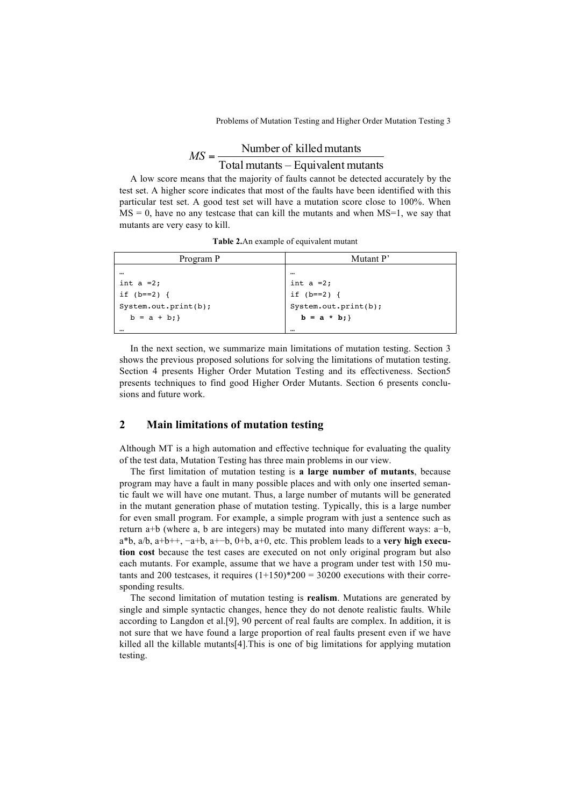Problems of Mutation Testing and Higher Order Mutation Testing 3

# Total mutants – Equivalent mutants  $MS = \frac{\text{Number of killed mutants}}{\text{Total price}}$

A low score means that the majority of faults cannot be detected accurately by the test set. A higher score indicates that most of the faults have been identified with this particular test set. A good test set will have a mutation score close to 100%. When  $MS = 0$ , have no any testcase that can kill the mutants and when  $MS=1$ , we say that mutants are very easy to kill.

**Table 2.**An example of equivalent mutant

| Program P            | Mutant P'            |
|----------------------|----------------------|
|                      | $\cdots$             |
| int $a = 2$ ;        | int a =2;            |
| if $(b == 2)$ {      | if $(b == 2)$ {      |
| System.out.print(b); | System.out.print(b); |
| $b = a + b;$         | $b = a * b;$         |
|                      | $\cdots$             |

In the next section, we summarize main limitations of mutation testing. Section 3 shows the previous proposed solutions for solving the limitations of mutation testing. Section 4 presents Higher Order Mutation Testing and its effectiveness. Section5 presents techniques to find good Higher Order Mutants. Section 6 presents conclusions and future work.

## **2 Main limitations of mutation testing**

Although MT is a high automation and effective technique for evaluating the quality of the test data, Mutation Testing has three main problems in our view.

The first limitation of mutation testing is **a large number of mutants**, because program may have a fault in many possible places and with only one inserted semantic fault we will have one mutant. Thus, a large number of mutants will be generated in the mutant generation phase of mutation testing. Typically, this is a large number for even small program. For example, a simple program with just a sentence such as return a+b (where a, b are integers) may be mutated into many different ways: a−b, a\*b, a/b, a+b++, −a+b, a+−b, 0+b, a+0, etc. This problem leads to a **very high execution cost** because the test cases are executed on not only original program but also each mutants. For example, assume that we have a program under test with 150 mutants and 200 testcases, it requires  $(1+150)^*200 = 30200$  executions with their corresponding results.

The second limitation of mutation testing is **realism**. Mutations are generated by single and simple syntactic changes, hence they do not denote realistic faults. While according to Langdon et al.[9], 90 percent of real faults are complex. In addition, it is not sure that we have found a large proportion of real faults present even if we have killed all the killable mutants[4].This is one of big limitations for applying mutation testing.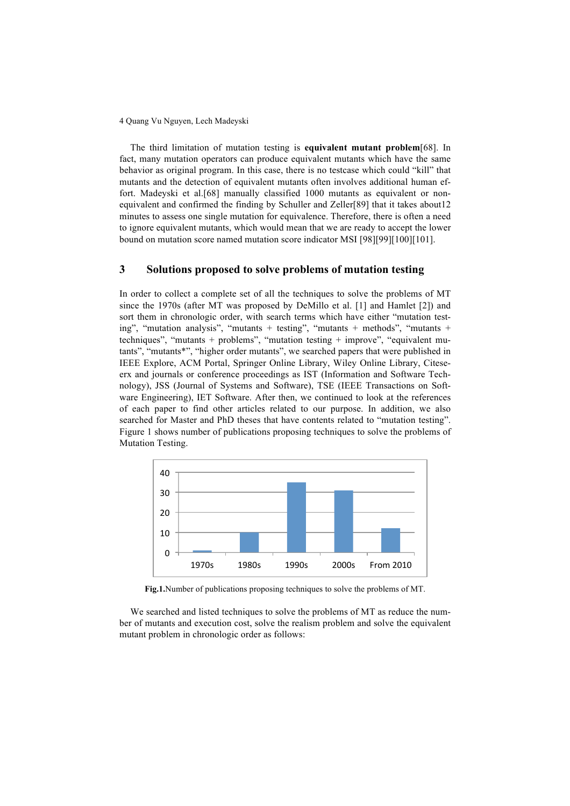The third limitation of mutation testing is **equivalent mutant problem**[68]. In fact, many mutation operators can produce equivalent mutants which have the same behavior as original program. In this case, there is no testcase which could "kill" that mutants and the detection of equivalent mutants often involves additional human effort. Madeyski et al.[68] manually classified 1000 mutants as equivalent or nonequivalent and confirmed the finding by Schuller and Zeller[89] that it takes about12 minutes to assess one single mutation for equivalence. Therefore, there is often a need to ignore equivalent mutants, which would mean that we are ready to accept the lower bound on mutation score named mutation score indicator MSI [98][99][100][101].

## **3 Solutions proposed to solve problems of mutation testing**

In order to collect a complete set of all the techniques to solve the problems of MT since the 1970s (after MT was proposed by DeMillo et al. [1] and Hamlet [2]) and sort them in chronologic order, with search terms which have either "mutation testing", "mutation analysis", "mutants + testing", "mutants + methods", "mutants + techniques", "mutants + problems", "mutation testing + improve", "equivalent mutants", "mutants\*", "higher order mutants", we searched papers that were published in IEEE Explore, ACM Portal, Springer Online Library, Wiley Online Library, Citeseerx and journals or conference proceedings as IST (Information and Software Technology), JSS (Journal of Systems and Software), TSE (IEEE Transactions on Software Engineering), IET Software. After then, we continued to look at the references of each paper to find other articles related to our purpose. In addition, we also searched for Master and PhD theses that have contents related to "mutation testing". Figure 1 shows number of publications proposing techniques to solve the problems of Mutation Testing.



**Fig.1.**Number of publications proposing techniques to solve the problems of MT.

We searched and listed techniques to solve the problems of MT as reduce the number of mutants and execution cost, solve the realism problem and solve the equivalent mutant problem in chronologic order as follows: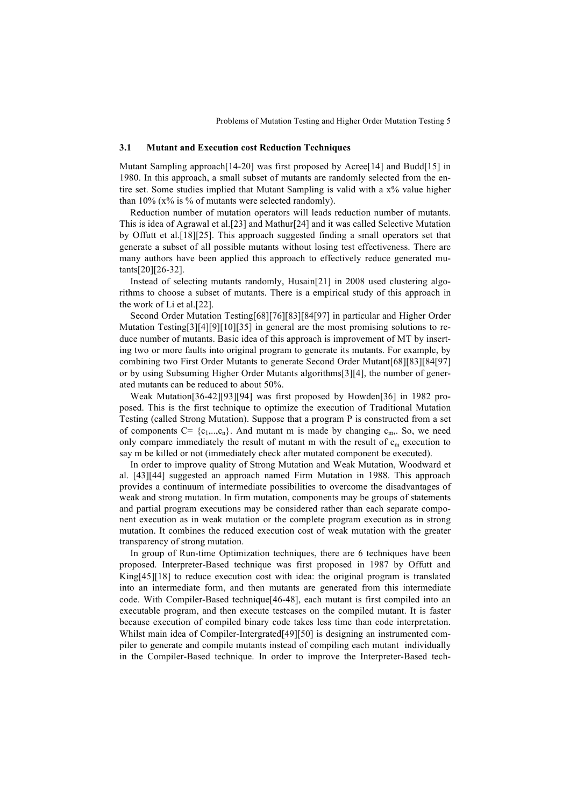#### **3.1 Mutant and Execution cost Reduction Techniques**

Mutant Sampling approach[14-20] was first proposed by Acree[14] and Budd[15] in 1980. In this approach, a small subset of mutants are randomly selected from the entire set. Some studies implied that Mutant Sampling is valid with a x% value higher than  $10\%$  ( $x\%$  is % of mutants were selected randomly).

Reduction number of mutation operators will leads reduction number of mutants. This is idea of Agrawal et al.[23] and Mathur[24] and it was called Selective Mutation by Offutt et al.[18][25]. This approach suggested finding a small operators set that generate a subset of all possible mutants without losing test effectiveness. There are many authors have been applied this approach to effectively reduce generated mutants[20][26-32].

Instead of selecting mutants randomly, Husain[21] in 2008 used clustering algorithms to choose a subset of mutants. There is a empirical study of this approach in the work of Li et al.[22].

Second Order Mutation Testing[68][76][83][84[97] in particular and Higher Order Mutation Testing[3][4][9][10][35] in general are the most promising solutions to reduce number of mutants. Basic idea of this approach is improvement of MT by inserting two or more faults into original program to generate its mutants. For example, by combining two First Order Mutants to generate Second Order Mutant[68][83][84[97] or by using Subsuming Higher Order Mutants algorithms[3][4], the number of generated mutants can be reduced to about 50%.

Weak Mutation[36-42][93][94] was first proposed by Howden[36] in 1982 proposed. This is the first technique to optimize the execution of Traditional Mutation Testing (called Strong Mutation). Suppose that a program P is constructed from a set of components  $C = \{c_1, \ldots, c_n\}$ . And mutant m is made by changing  $c_m$ , So, we need only compare immediately the result of mutant m with the result of  $c_m$  execution to say m be killed or not (immediately check after mutated component be executed).

In order to improve quality of Strong Mutation and Weak Mutation, Woodward et al. [43][44] suggested an approach named Firm Mutation in 1988. This approach provides a continuum of intermediate possibilities to overcome the disadvantages of weak and strong mutation. In firm mutation, components may be groups of statements and partial program executions may be considered rather than each separate component execution as in weak mutation or the complete program execution as in strong mutation. It combines the reduced execution cost of weak mutation with the greater transparency of strong mutation.

In group of Run-time Optimization techniques, there are 6 techniques have been proposed. Interpreter-Based technique was first proposed in 1987 by Offutt and King[45][18] to reduce execution cost with idea: the original program is translated into an intermediate form, and then mutants are generated from this intermediate code. With Compiler-Based technique[46-48], each mutant is first compiled into an executable program, and then execute testcases on the compiled mutant. It is faster because execution of compiled binary code takes less time than code interpretation. Whilst main idea of Compiler-Intergrated[49][50] is designing an instrumented compiler to generate and compile mutants instead of compiling each mutant individually in the Compiler-Based technique. In order to improve the Interpreter-Based tech-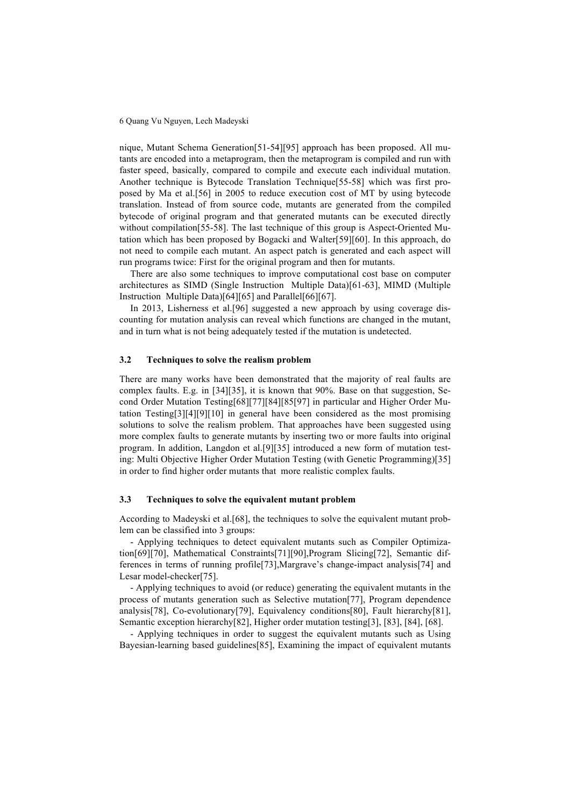nique, Mutant Schema Generation[51-54][95] approach has been proposed. All mutants are encoded into a metaprogram, then the metaprogram is compiled and run with faster speed, basically, compared to compile and execute each individual mutation. Another technique is Bytecode Translation Technique[55-58] which was first proposed by Ma et al.[56] in 2005 to reduce execution cost of MT by using bytecode translation. Instead of from source code, mutants are generated from the compiled bytecode of original program and that generated mutants can be executed directly without compilation[55-58]. The last technique of this group is Aspect-Oriented Mutation which has been proposed by Bogacki and Walter[59][60]. In this approach, do not need to compile each mutant. An aspect patch is generated and each aspect will run programs twice: First for the original program and then for mutants.

There are also some techniques to improve computational cost base on computer architectures as SIMD (Single Instruction Multiple Data)[61-63], MIMD (Multiple Instruction Multiple Data)[64][65] and Parallel[66][67].

In 2013, Lisherness et al.[96] suggested a new approach by using coverage discounting for mutation analysis can reveal which functions are changed in the mutant, and in turn what is not being adequately tested if the mutation is undetected.

### **3.2 Techniques to solve the realism problem**

There are many works have been demonstrated that the majority of real faults are complex faults. E.g. in [34][35], it is known that 90%. Base on that suggestion, Second Order Mutation Testing[68][77][84][85[97] in particular and Higher Order Mutation Testing[3][4][9][10] in general have been considered as the most promising solutions to solve the realism problem. That approaches have been suggested using more complex faults to generate mutants by inserting two or more faults into original program. In addition, Langdon et al.[9][35] introduced a new form of mutation testing: Multi Objective Higher Order Mutation Testing (with Genetic Programming)[35] in order to find higher order mutants that more realistic complex faults.

#### **3.3 Techniques to solve the equivalent mutant problem**

According to Madeyski et al.[68], the techniques to solve the equivalent mutant problem can be classified into 3 groups:

- Applying techniques to detect equivalent mutants such as Compiler Optimization[69][70], Mathematical Constraints[71][90],Program Slicing[72], Semantic differences in terms of running profile[73],Margrave's change-impact analysis[74] and Lesar model-checker[75].

- Applying techniques to avoid (or reduce) generating the equivalent mutants in the process of mutants generation such as Selective mutation[77], Program dependence analysis[78], Co-evolutionary[79], Equivalency conditions[80], Fault hierarchy[81], Semantic exception hierarchy[82], Higher order mutation testing[3], [83], [84], [68].

- Applying techniques in order to suggest the equivalent mutants such as Using Bayesian-learning based guidelines[85], Examining the impact of equivalent mutants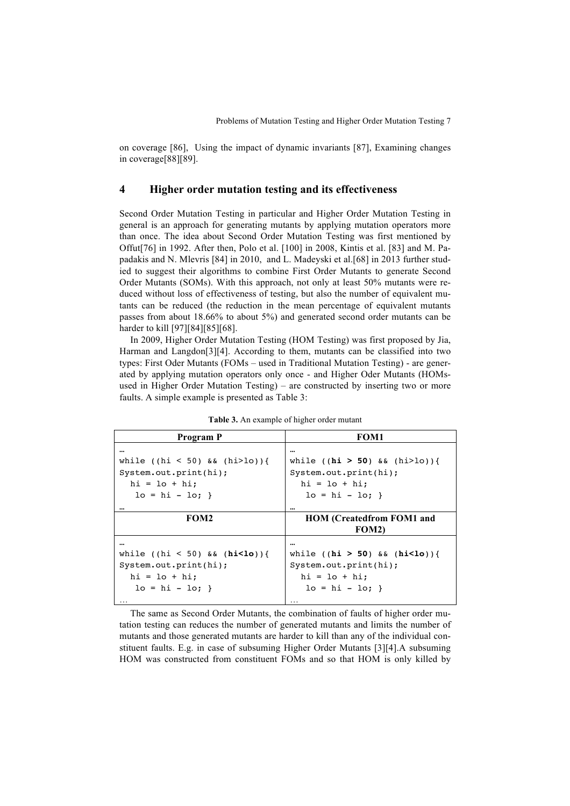on coverage [86], Using the impact of dynamic invariants [87], Examining changes in coverage[88][89].

## **4 Higher order mutation testing and its effectiveness**

Second Order Mutation Testing in particular and Higher Order Mutation Testing in general is an approach for generating mutants by applying mutation operators more than once. The idea about Second Order Mutation Testing was first mentioned by Offut[76] in 1992. After then, Polo et al. [100] in 2008, Kintis et al. [83] and M. Papadakis and N. Mlevris [84] in 2010, and L. Madeyski et al.[68] in 2013 further studied to suggest their algorithms to combine First Order Mutants to generate Second Order Mutants (SOMs). With this approach, not only at least 50% mutants were reduced without loss of effectiveness of testing, but also the number of equivalent mutants can be reduced (the reduction in the mean percentage of equivalent mutants passes from about 18.66% to about 5%) and generated second order mutants can be harder to kill [97][84][85][68].

In 2009, Higher Order Mutation Testing (HOM Testing) was first proposed by Jia, Harman and Langdon[3][4]. According to them, mutants can be classified into two types: First Oder Mutants (FOMs – used in Traditional Mutation Testing) - are generated by applying mutation operators only once - and Higher Oder Mutants (HOMsused in Higher Order Mutation Testing) – are constructed by inserting two or more faults. A simple example is presented as Table 3:

| <b>Program P</b>                                   | <b>FOM1</b>                      |
|----------------------------------------------------|----------------------------------|
|                                                    |                                  |
| while ((hi < 50) && (hi>lo)){                      | while $((hi > 50) \& (hi > 10))$ |
| System.out.print(hi);                              | System.out.print(hi);            |
| $hi = lo + hi;$                                    | $hi = lo + hi;$                  |
| $10 = h i - 10;$                                   | $10 = h i - 10;$                 |
|                                                    |                                  |
| <b>FOM2</b>                                        | <b>HOM</b> (Createdfrom FOM1 and |
|                                                    | FOM2                             |
|                                                    |                                  |
| while ((hi < 50) && ( <b>hi<lo< b="">)){</lo<></b> | while $((hi > 50) \& (hi < lo))$ |
| System.out.print(hi);                              | System.out.print(hi);            |
| $hi = lo + hi;$                                    | $hi = lo + hi;$                  |
| $10 = h i - 10;$                                   | $10 = h i - 10;$                 |
|                                                    | .                                |

**Table 3.** An example of higher order mutant

The same as Second Order Mutants, the combination of faults of higher order mutation testing can reduces the number of generated mutants and limits the number of mutants and those generated mutants are harder to kill than any of the individual constituent faults. E.g. in case of subsuming Higher Order Mutants [3][4].A subsuming HOM was constructed from constituent FOMs and so that HOM is only killed by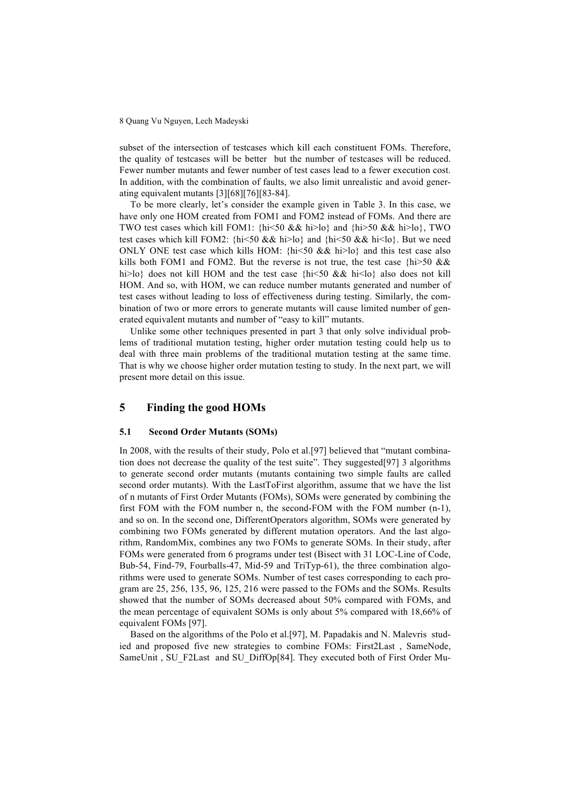subset of the intersection of testcases which kill each constituent FOMs. Therefore, the quality of testcases will be better but the number of testcases will be reduced. Fewer number mutants and fewer number of test cases lead to a fewer execution cost. In addition, with the combination of faults, we also limit unrealistic and avoid generating equivalent mutants [3][68][76][83-84].

To be more clearly, let's consider the example given in Table 3. In this case, we have only one HOM created from FOM1 and FOM2 instead of FOMs. And there are TWO test cases which kill FOM1: {hi<50 && hi>lo} and {hi>50 && hi>lo}, TWO test cases which kill FOM2: {hi<50 && hi>lo} and {hi<50 && hi<lo}. But we need ONLY ONE test case which kills HOM:  $\{hi \le 50 \&\&\ hi \ge lo\}$  and this test case also kills both FOM1 and FOM2. But the reverse is not true, the test case  $\{$ hi>50 && hi>lo} does not kill HOM and the test case {hi<50 && hi<lo} also does not kill HOM. And so, with HOM, we can reduce number mutants generated and number of test cases without leading to loss of effectiveness during testing. Similarly, the combination of two or more errors to generate mutants will cause limited number of generated equivalent mutants and number of "easy to kill" mutants.

Unlike some other techniques presented in part 3 that only solve individual problems of traditional mutation testing, higher order mutation testing could help us to deal with three main problems of the traditional mutation testing at the same time. That is why we choose higher order mutation testing to study. In the next part, we will present more detail on this issue.

## **5 Finding the good HOMs**

#### **5.1 Second Order Mutants (SOMs)**

In 2008, with the results of their study, Polo et al.[97] believed that "mutant combination does not decrease the quality of the test suite". They suggested[97] 3 algorithms to generate second order mutants (mutants containing two simple faults are called second order mutants). With the LastToFirst algorithm, assume that we have the list of n mutants of First Order Mutants (FOMs), SOMs were generated by combining the first FOM with the FOM number n, the second-FOM with the FOM number (n-1), and so on. In the second one, DifferentOperators algorithm, SOMs were generated by combining two FOMs generated by different mutation operators. And the last algorithm, RandomMix, combines any two FOMs to generate SOMs. In their study, after FOMs were generated from 6 programs under test (Bisect with 31 LOC-Line of Code, Bub-54, Find-79, Fourballs-47, Mid-59 and TriTyp-61), the three combination algorithms were used to generate SOMs. Number of test cases corresponding to each program are 25, 256, 135, 96, 125, 216 were passed to the FOMs and the SOMs. Results showed that the number of SOMs decreased about 50% compared with FOMs, and the mean percentage of equivalent SOMs is only about 5% compared with 18,66% of equivalent FOMs [97].

Based on the algorithms of the Polo et al.[97], M. Papadakis and N. Malevris studied and proposed five new strategies to combine FOMs: First2Last , SameNode, SameUnit, SU\_F2Last and SU\_DiffOp[84]. They executed both of First Order Mu-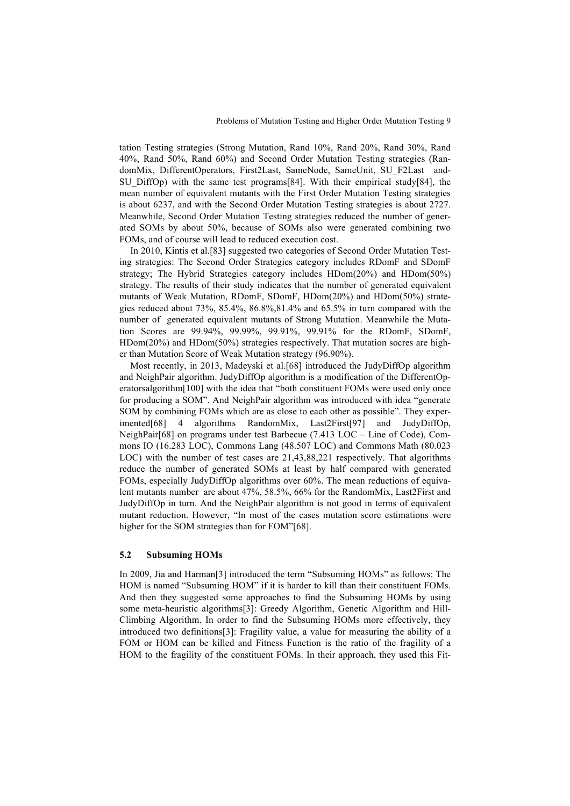tation Testing strategies (Strong Mutation, Rand 10%, Rand 20%, Rand 30%, Rand 40%, Rand 50%, Rand 60%) and Second Order Mutation Testing strategies (RandomMix, DifferentOperators, First2Last, SameNode, SameUnit, SU\_F2Last and-SU\_DiffOp) with the same test programs[84]. With their empirical study[84], the mean number of equivalent mutants with the First Order Mutation Testing strategies is about 6237, and with the Second Order Mutation Testing strategies is about 2727. Meanwhile, Second Order Mutation Testing strategies reduced the number of generated SOMs by about 50%, because of SOMs also were generated combining two FOMs, and of course will lead to reduced execution cost.

In 2010, Kintis et al.[83] suggested two categories of Second Order Mutation Testing strategies: The Second Order Strategies category includes RDomF and SDomF strategy; The Hybrid Strategies category includes HDom(20%) and HDom(50%) strategy. The results of their study indicates that the number of generated equivalent mutants of Weak Mutation, RDomF, SDomF, HDom(20%) and HDom(50%) strategies reduced about 73%, 85.4%, 86.8%,81.4% and 65.5% in turn compared with the number of generated equivalent mutants of Strong Mutation. Meanwhile the Mutation Scores are 99.94%, 99.99%, 99.91%, 99.91% for the RDomF, SDomF, HDom(20%) and HDom(50%) strategies respectively. That mutation socres are higher than Mutation Score of Weak Mutation strategy (96.90%).

Most recently, in 2013, Madeyski et al.[68] introduced the JudyDiffOp algorithm and NeighPair algorithm. JudyDiffOp algorithm is a modification of the DifferentOperatorsalgorithm[100] with the idea that "both constituent FOMs were used only once for producing a SOM". And NeighPair algorithm was introduced with idea "generate SOM by combining FOMs which are as close to each other as possible". They experimented[68] 4 algorithms RandomMix, Last2First[97] and JudyDiffOp, NeighPair[68] on programs under test Barbecue (7.413 LOC – Line of Code), Commons IO (16.283 LOC), Commons Lang (48.507 LOC) and Commons Math (80.023 LOC) with the number of test cases are 21,43,88,221 respectively. That algorithms reduce the number of generated SOMs at least by half compared with generated FOMs, especially JudyDiffOp algorithms over 60%. The mean reductions of equivalent mutants number are about 47%, 58.5%, 66% for the RandomMix, Last2First and JudyDiffOp in turn. And the NeighPair algorithm is not good in terms of equivalent mutant reduction. However, "In most of the cases mutation score estimations were higher for the SOM strategies than for FOM"[68].

#### **5.2 Subsuming HOMs**

In 2009, Jia and Harman[3] introduced the term "Subsuming HOMs" as follows: The HOM is named "Subsuming HOM" if it is harder to kill than their constituent FOMs. And then they suggested some approaches to find the Subsuming HOMs by using some meta-heuristic algorithms[3]: Greedy Algorithm, Genetic Algorithm and Hill-Climbing Algorithm. In order to find the Subsuming HOMs more effectively, they introduced two definitions[3]: Fragility value, a value for measuring the ability of a FOM or HOM can be killed and Fitness Function is the ratio of the fragility of a HOM to the fragility of the constituent FOMs. In their approach, they used this Fit-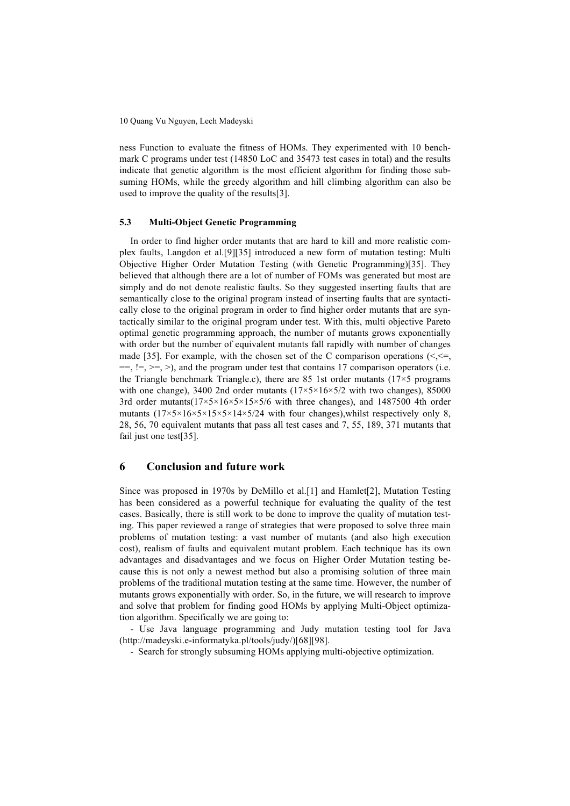ness Function to evaluate the fitness of HOMs. They experimented with 10 benchmark C programs under test (14850 LoC and 35473 test cases in total) and the results indicate that genetic algorithm is the most efficient algorithm for finding those subsuming HOMs, while the greedy algorithm and hill climbing algorithm can also be used to improve the quality of the results[3].

#### **5.3 Multi-Object Genetic Programming**

In order to find higher order mutants that are hard to kill and more realistic complex faults, Langdon et al.[9][35] introduced a new form of mutation testing: Multi Objective Higher Order Mutation Testing (with Genetic Programming)[35]. They believed that although there are a lot of number of FOMs was generated but most are simply and do not denote realistic faults. So they suggested inserting faults that are semantically close to the original program instead of inserting faults that are syntactically close to the original program in order to find higher order mutants that are syntactically similar to the original program under test. With this, multi objective Pareto optimal genetic programming approach, the number of mutants grows exponentially with order but the number of equivalent mutants fall rapidly with number of changes made [35]. For example, with the chosen set of the C comparison operations  $\ll \ll 1$ ,  $=$ ,  $=$ ,  $>$ ,  $>$ ), and the program under test that contains 17 comparison operators (i.e. the Triangle benchmark Triangle.c), there are 85 1st order mutants ( $17 \times 5$  programs with one change), 3400 2nd order mutants  $(17 \times 5 \times 16 \times 5/2)$  with two changes), 85000 3rd order mutants $(17\times5\times16\times5\times15\times5/6$  with three changes), and 1487500 4th order mutants  $(17 \times 5 \times 16 \times 5 \times 15 \times 5 \times 14 \times 5/24$  with four changes), whilst respectively only 8, 28, 56, 70 equivalent mutants that pass all test cases and 7, 55, 189, 371 mutants that fail just one test[35].

## **6 Conclusion and future work**

Since was proposed in 1970s by DeMillo et al.[1] and Hamlet[2], Mutation Testing has been considered as a powerful technique for evaluating the quality of the test cases. Basically, there is still work to be done to improve the quality of mutation testing. This paper reviewed a range of strategies that were proposed to solve three main problems of mutation testing: a vast number of mutants (and also high execution cost), realism of faults and equivalent mutant problem. Each technique has its own advantages and disadvantages and we focus on Higher Order Mutation testing because this is not only a newest method but also a promising solution of three main problems of the traditional mutation testing at the same time. However, the number of mutants grows exponentially with order. So, in the future, we will research to improve and solve that problem for finding good HOMs by applying Multi-Object optimization algorithm. Specifically we are going to:

- Use Java language programming and Judy mutation testing tool for Java (http://madeyski.e-informatyka.pl/tools/judy/)[68][98].

- Search for strongly subsuming HOMs applying multi-objective optimization.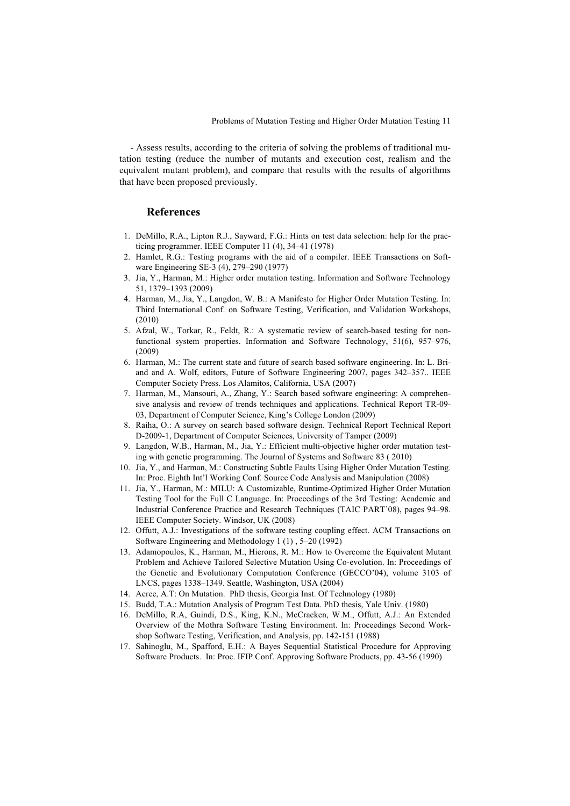- Assess results, according to the criteria of solving the problems of traditional mutation testing (reduce the number of mutants and execution cost, realism and the equivalent mutant problem), and compare that results with the results of algorithms that have been proposed previously.

## **References**

- 1. DeMillo, R.A., Lipton R.J., Sayward, F.G.: Hints on test data selection: help for the practicing programmer. IEEE Computer 11 (4), 34–41 (1978)
- 2. Hamlet, R.G.: Testing programs with the aid of a compiler. IEEE Transactions on Software Engineering SE-3 (4), 279–290 (1977)
- 3. Jia, Y., Harman, M.: Higher order mutation testing. Information and Software Technology 51, 1379–1393 (2009)
- 4. Harman, M., Jia, Y., Langdon, W. B.: A Manifesto for Higher Order Mutation Testing. In: Third International Conf. on Software Testing, Verification, and Validation Workshops, (2010)
- 5. Afzal, W., Torkar, R., Feldt, R.: A systematic review of search-based testing for nonfunctional system properties. Information and Software Technology, 51(6), 957–976, (2009)
- 6. Harman, M.: The current state and future of search based software engineering. In: L. Briand and A. Wolf, editors, Future of Software Engineering 2007, pages 342–357.. IEEE Computer Society Press. Los Alamitos, California, USA (2007)
- 7. Harman, M., Mansouri, A., Zhang, Y.: Search based software engineering: A comprehensive analysis and review of trends techniques and applications. Technical Report TR-09- 03, Department of Computer Science, King's College London (2009)
- 8. Raiha, O.: A survey on search based software design. Technical Report Technical Report D-2009-1, Department of Computer Sciences, University of Tamper (2009)
- 9. Langdon, W.B., Harman, M., Jia, Y.: Efficient multi-objective higher order mutation testing with genetic programming. The Journal of Systems and Software 83 ( 2010)
- 10. Jia, Y., and Harman, M.: Constructing Subtle Faults Using Higher Order Mutation Testing. In: Proc. Eighth Int'l Working Conf. Source Code Analysis and Manipulation (2008)
- 11. Jia, Y., Harman, M.: MILU: A Customizable, Runtime-Optimized Higher Order Mutation Testing Tool for the Full C Language. In: Proceedings of the 3rd Testing: Academic and Industrial Conference Practice and Research Techniques (TAIC PART'08), pages 94–98. IEEE Computer Society. Windsor, UK (2008)
- 12. Offutt, A.J.: Investigations of the software testing coupling effect. ACM Transactions on Software Engineering and Methodology 1 (1) , 5–20 (1992)
- 13. Adamopoulos, K., Harman, M., Hierons, R. M.: How to Overcome the Equivalent Mutant Problem and Achieve Tailored Selective Mutation Using Co-evolution. In: Proceedings of the Genetic and Evolutionary Computation Conference (GECCO'04), volume 3103 of LNCS, pages 1338–1349. Seattle, Washington, USA (2004)
- 14. Acree, A.T: On Mutation. PhD thesis, Georgia Inst. Of Technology (1980)
- 15. Budd, T.A.: Mutation Analysis of Program Test Data. PhD thesis, Yale Univ. (1980)
- 16. DeMillo, R.A, Guindi, D.S., King, K.N., McCracken, W.M., Offutt, A.J.: An Extended Overview of the Mothra Software Testing Environment. In: Proceedings Second Workshop Software Testing, Verification, and Analysis, pp. 142-151 (1988)
- 17. Sahinoglu, M., Spafford, E.H.: A Bayes Sequential Statistical Procedure for Approving Software Products. In: Proc. IFIP Conf. Approving Software Products, pp. 43-56 (1990)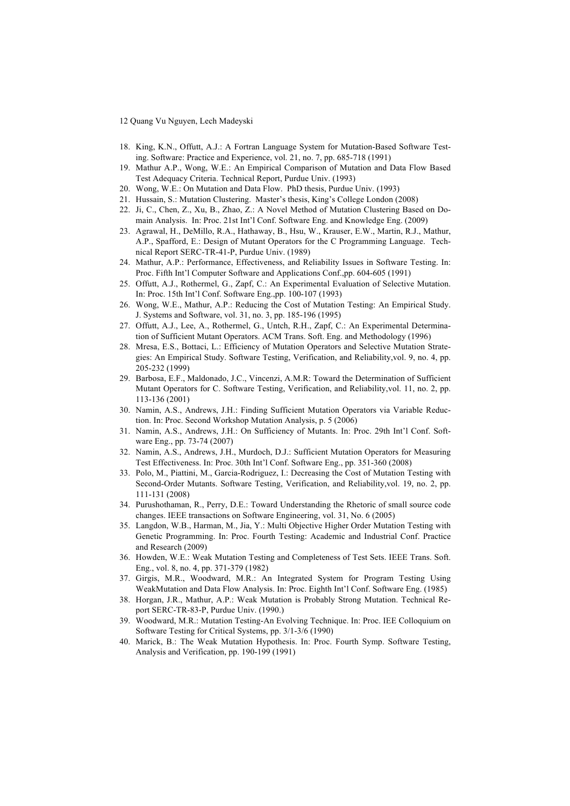- 18. King, K.N., Offutt, A.J.: A Fortran Language System for Mutation-Based Software Testing. Software: Practice and Experience, vol. 21, no. 7, pp. 685-718 (1991)
- 19. Mathur A.P., Wong, W.E.: An Empirical Comparison of Mutation and Data Flow Based Test Adequacy Criteria. Technical Report, Purdue Univ. (1993)
- 20. Wong, W.E.: On Mutation and Data Flow. PhD thesis, Purdue Univ. (1993)
- 21. Hussain, S.: Mutation Clustering. Master's thesis, King's College London (2008)
- 22. Ji, C., Chen, Z., Xu, B., Zhao, Z.: A Novel Method of Mutation Clustering Based on Domain Analysis. In: Proc. 21st Int'l Conf. Software Eng. and Knowledge Eng. (2009)
- 23. Agrawal, H., DeMillo, R.A., Hathaway, B., Hsu, W., Krauser, E.W., Martin, R.J., Mathur, A.P., Spafford, E.: Design of Mutant Operators for the C Programming Language. Technical Report SERC-TR-41-P, Purdue Univ. (1989)
- 24. Mathur, A.P.: Performance, Effectiveness, and Reliability Issues in Software Testing. In: Proc. Fifth Int'l Computer Software and Applications Conf.,pp. 604-605 (1991)
- 25. Offutt, A.J., Rothermel, G., Zapf, C.: An Experimental Evaluation of Selective Mutation. In: Proc. 15th Int'l Conf. Software Eng.,pp. 100-107 (1993)
- 26. Wong, W.E., Mathur, A.P.: Reducing the Cost of Mutation Testing: An Empirical Study. J. Systems and Software, vol. 31, no. 3, pp. 185-196 (1995)
- 27. Offutt, A.J., Lee, A., Rothermel, G., Untch, R.H., Zapf, C.: An Experimental Determination of Sufficient Mutant Operators. ACM Trans. Soft. Eng. and Methodology (1996)
- 28. Mresa, E.S., Bottaci, L.: Efficiency of Mutation Operators and Selective Mutation Strategies: An Empirical Study. Software Testing, Verification, and Reliability,vol. 9, no. 4, pp. 205-232 (1999)
- 29. Barbosa, E.F., Maldonado, J.C., Vincenzi, A.M.R: Toward the Determination of Sufficient Mutant Operators for C. Software Testing, Verification, and Reliability,vol. 11, no. 2, pp. 113-136 (2001)
- 30. Namin, A.S., Andrews, J.H.: Finding Sufficient Mutation Operators via Variable Reduction. In: Proc. Second Workshop Mutation Analysis, p. 5 (2006)
- 31. Namin, A.S., Andrews, J.H.: On Sufficiency of Mutants. In: Proc. 29th Int'l Conf. Software Eng., pp. 73-74 (2007)
- 32. Namin, A.S., Andrews, J.H., Murdoch, D.J.: Sufficient Mutation Operators for Measuring Test Effectiveness. In: Proc. 30th Int'l Conf. Software Eng., pp. 351-360 (2008)
- 33. Polo, M., Piattini, M., Garcia-Rodriguez, I.: Decreasing the Cost of Mutation Testing with Second-Order Mutants. Software Testing, Verification, and Reliability,vol. 19, no. 2, pp. 111-131 (2008)
- 34. Purushothaman, R., Perry, D.E.: Toward Understanding the Rhetoric of small source code changes. IEEE transactions on Software Engineering, vol. 31, No. 6 (2005)
- 35. Langdon, W.B., Harman, M., Jia, Y.: Multi Objective Higher Order Mutation Testing with Genetic Programming. In: Proc. Fourth Testing: Academic and Industrial Conf. Practice and Research (2009)
- 36. Howden, W.E.: Weak Mutation Testing and Completeness of Test Sets. IEEE Trans. Soft. Eng., vol. 8, no. 4, pp. 371-379 (1982)
- 37. Girgis, M.R., Woodward, M.R.: An Integrated System for Program Testing Using WeakMutation and Data Flow Analysis. In: Proc. Eighth Int'l Conf. Software Eng. (1985)
- 38. Horgan, J.R., Mathur, A.P.: Weak Mutation is Probably Strong Mutation. Technical Report SERC-TR-83-P, Purdue Univ. (1990.)
- 39. Woodward, M.R.: Mutation Testing-An Evolving Technique. In: Proc. IEE Colloquium on Software Testing for Critical Systems, pp. 3/1-3/6 (1990)
- 40. Marick, B.: The Weak Mutation Hypothesis. In: Proc. Fourth Symp. Software Testing, Analysis and Verification, pp. 190-199 (1991)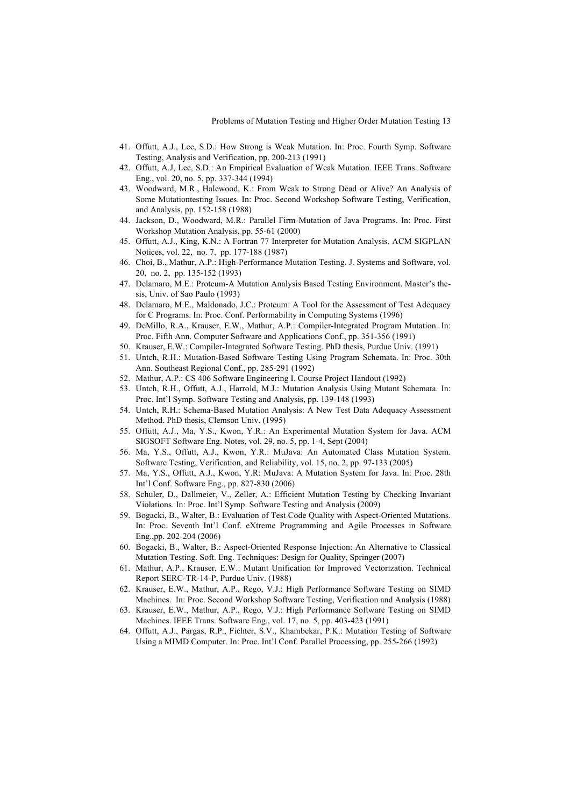- 41. Offutt, A.J., Lee, S.D.: How Strong is Weak Mutation. In: Proc. Fourth Symp. Software Testing, Analysis and Verification, pp. 200-213 (1991)
- 42. Offutt, A.J, Lee, S.D.: An Empirical Evaluation of Weak Mutation. IEEE Trans. Software Eng., vol. 20, no. 5, pp. 337-344 (1994)
- 43. Woodward, M.R., Halewood, K.: From Weak to Strong Dead or Alive? An Analysis of Some Mutationtesting Issues. In: Proc. Second Workshop Software Testing, Verification, and Analysis, pp. 152-158 (1988)
- 44. Jackson, D., Woodward, M.R.: Parallel Firm Mutation of Java Programs. In: Proc. First Workshop Mutation Analysis, pp. 55-61 (2000)
- 45. Offutt, A.J., King, K.N.: A Fortran 77 Interpreter for Mutation Analysis. ACM SIGPLAN Notices, vol. 22, no. 7, pp. 177-188 (1987)
- 46. Choi, B., Mathur, A.P.: High-Performance Mutation Testing. J. Systems and Software, vol. 20, no. 2, pp. 135-152 (1993)
- 47. Delamaro, M.E.: Proteum-A Mutation Analysis Based Testing Environment. Master's thesis, Univ. of Sao Paulo (1993)
- 48. Delamaro, M.E., Maldonado, J.C.: Proteum: A Tool for the Assessment of Test Adequacy for C Programs. In: Proc. Conf. Performability in Computing Systems (1996)
- 49. DeMillo, R.A., Krauser, E.W., Mathur, A.P.: Compiler-Integrated Program Mutation. In: Proc. Fifth Ann. Computer Software and Applications Conf., pp. 351-356 (1991)
- 50. Krauser, E.W.: Compiler-Integrated Software Testing. PhD thesis, Purdue Univ. (1991)
- 51. Untch, R.H.: Mutation-Based Software Testing Using Program Schemata. In: Proc. 30th Ann. Southeast Regional Conf., pp. 285-291 (1992)
- 52. Mathur, A.P.: CS 406 Software Engineering I. Course Project Handout (1992)
- 53. Untch, R.H., Offutt, A.J., Harrold, M.J.: Mutation Analysis Using Mutant Schemata. In: Proc. Int'l Symp. Software Testing and Analysis, pp. 139-148 (1993)
- 54. Untch, R.H.: Schema-Based Mutation Analysis: A New Test Data Adequacy Assessment Method. PhD thesis, Clemson Univ. (1995)
- 55. Offutt, A.J., Ma, Y.S., Kwon, Y.R.: An Experimental Mutation System for Java. ACM SIGSOFT Software Eng. Notes, vol. 29, no. 5, pp. 1-4, Sept (2004)
- 56. Ma, Y.S., Offutt, A.J., Kwon, Y.R.: MuJava: An Automated Class Mutation System. Software Testing, Verification, and Reliability, vol. 15, no. 2, pp. 97-133 (2005)
- 57. Ma, Y.S., Offutt, A.J., Kwon, Y.R: MuJava: A Mutation System for Java. In: Proc. 28th Int'l Conf. Software Eng., pp. 827-830 (2006)
- 58. Schuler, D., Dallmeier, V., Zeller, A.: Efficient Mutation Testing by Checking Invariant Violations. In: Proc. Int'l Symp. Software Testing and Analysis (2009)
- 59. Bogacki, B., Walter, B.: Evaluation of Test Code Quality with Aspect-Oriented Mutations. In: Proc. Seventh Int'l Conf. eXtreme Programming and Agile Processes in Software Eng.,pp. 202-204 (2006)
- 60. Bogacki, B., Walter, B.: Aspect-Oriented Response Injection: An Alternative to Classical Mutation Testing. Soft. Eng. Techniques: Design for Quality, Springer (2007)
- 61. Mathur, A.P., Krauser, E.W.: Mutant Unification for Improved Vectorization. Technical Report SERC-TR-14-P, Purdue Univ. (1988)
- 62. Krauser, E.W., Mathur, A.P., Rego, V.J.: High Performance Software Testing on SIMD Machines. In: Proc. Second Workshop Software Testing, Verification and Analysis (1988)
- 63. Krauser, E.W., Mathur, A.P., Rego, V.J.: High Performance Software Testing on SIMD Machines. IEEE Trans. Software Eng., vol. 17, no. 5, pp. 403-423 (1991)
- 64. Offutt, A.J., Pargas, R.P., Fichter, S.V., Khambekar, P.K.: Mutation Testing of Software Using a MIMD Computer. In: Proc. Int'l Conf. Parallel Processing, pp. 255-266 (1992)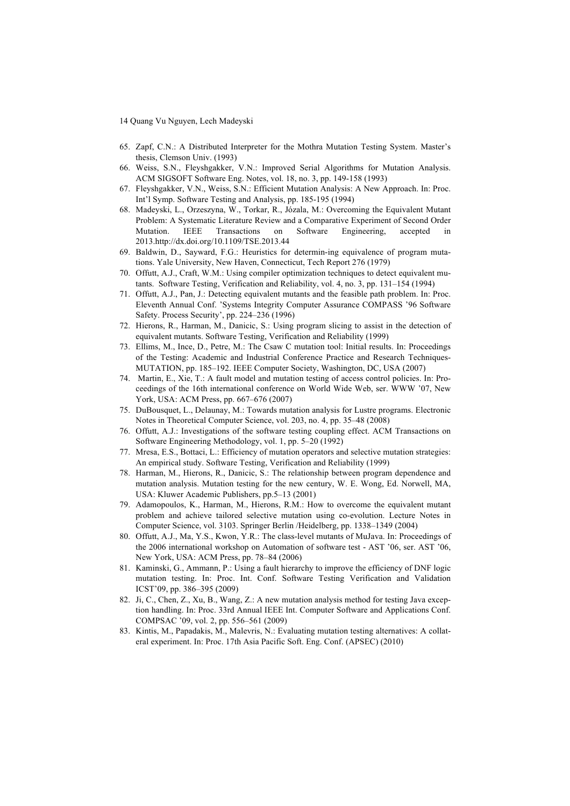- 65. Zapf, C.N.: A Distributed Interpreter for the Mothra Mutation Testing System. Master's thesis, Clemson Univ. (1993)
- 66. Weiss, S.N., Fleyshgakker, V.N.: Improved Serial Algorithms for Mutation Analysis. ACM SIGSOFT Software Eng. Notes, vol. 18, no. 3, pp. 149-158 (1993)
- 67. Fleyshgakker, V.N., Weiss, S.N.: Efficient Mutation Analysis: A New Approach. In: Proc. Int'l Symp. Software Testing and Analysis, pp. 185-195 (1994)
- 68. Madeyski, L., Orzeszyna, W., Torkar, R., Józala, M.: Overcoming the Equivalent Mutant Problem: A Systematic Literature Review and a Comparative Experiment of Second Order Mutation. IEEE Transactions on Software Engineering, accepted in 2013.http://dx.doi.org/10.1109/TSE.2013.44
- 69. Baldwin, D., Sayward, F.G.: Heuristics for determin-ing equivalence of program mutations. Yale University, New Haven, Connecticut, Tech Report 276 (1979)
- 70. Offutt, A.J., Craft, W.M.: Using compiler optimization techniques to detect equivalent mutants. Software Testing, Verification and Reliability, vol. 4, no. 3, pp. 131–154 (1994)
- 71. Offutt, A.J., Pan, J.: Detecting equivalent mutants and the feasible path problem. In: Proc. Eleventh Annual Conf. 'Systems Integrity Computer Assurance COMPASS '96 Software Safety. Process Security', pp. 224–236 (1996)
- 72. Hierons, R., Harman, M., Danicic, S.: Using program slicing to assist in the detection of equivalent mutants. Software Testing, Verification and Reliability (1999)
- 73. Ellims, M., Ince, D., Petre, M.: The Csaw C mutation tool: Initial results. In: Proceedings of the Testing: Academic and Industrial Conference Practice and Research Techniques-MUTATION, pp. 185–192. IEEE Computer Society, Washington, DC, USA (2007)
- 74. Martin, E., Xie, T.: A fault model and mutation testing of access control policies. In: Proceedings of the 16th international conference on World Wide Web, ser. WWW '07, New York, USA: ACM Press, pp. 667–676 (2007)
- 75. DuBousquet, L., Delaunay, M.: Towards mutation analysis for Lustre programs. Electronic Notes in Theoretical Computer Science, vol. 203, no. 4, pp. 35–48 (2008)
- 76. Offutt, A.J.: Investigations of the software testing coupling effect. ACM Transactions on Software Engineering Methodology, vol. 1, pp. 5–20 (1992)
- 77. Mresa, E.S., Bottaci, L.: Efficiency of mutation operators and selective mutation strategies: An empirical study. Software Testing, Verification and Reliability (1999)
- 78. Harman, M., Hierons, R., Danicic, S.: The relationship between program dependence and mutation analysis. Mutation testing for the new century, W. E. Wong, Ed. Norwell, MA, USA: Kluwer Academic Publishers, pp.5–13 (2001)
- 79. Adamopoulos, K., Harman, M., Hierons, R.M.: How to overcome the equivalent mutant problem and achieve tailored selective mutation using co-evolution. Lecture Notes in Computer Science, vol. 3103. Springer Berlin /Heidelberg, pp. 1338–1349 (2004)
- 80. Offutt, A.J., Ma, Y.S., Kwon, Y.R.: The class-level mutants of MuJava. In: Proceedings of the 2006 international workshop on Automation of software test - AST '06, ser. AST '06, New York, USA: ACM Press, pp. 78–84 (2006)
- 81. Kaminski, G., Ammann, P.: Using a fault hierarchy to improve the efficiency of DNF logic mutation testing. In: Proc. Int. Conf. Software Testing Verification and Validation ICST'09, pp. 386–395 (2009)
- 82. Ji, C., Chen, Z., Xu, B., Wang, Z.: A new mutation analysis method for testing Java exception handling. In: Proc. 33rd Annual IEEE Int. Computer Software and Applications Conf. COMPSAC '09, vol. 2, pp. 556–561 (2009)
- 83. Kintis, M., Papadakis, M., Malevris, N.: Evaluating mutation testing alternatives: A collateral experiment. In: Proc. 17th Asia Pacific Soft. Eng. Conf. (APSEC) (2010)